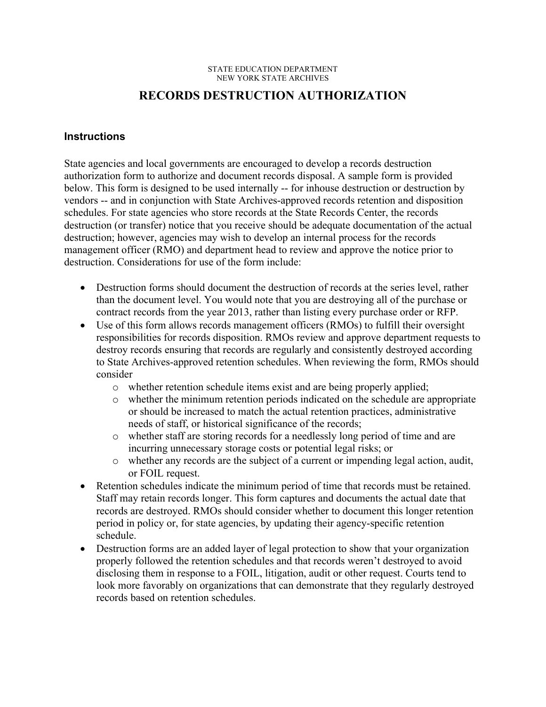#### STATE EDUCATION DEPARTMENT NEW YORK STATE ARCHIVES

## **RECORDS DESTRUCTION AUTHORIZATION**

### **Instructions**

 below. This form is designed to be used internally -- for inhouse destruction or destruction by destruction (or transfer) notice that you receive should be adequate documentation of the actual destruction. Considerations for use of the form include: State agencies and local governments are encouraged to develop a records destruction authorization form to authorize and document records disposal. A sample form is provided vendors -- and in conjunction with State Archives-approved records retention and disposition schedules. For state agencies who store records at the State Records Center, the records destruction; however, agencies may wish to develop an internal process for the records management officer (RMO) and department head to review and approve the notice prior to

- Destruction forms should document the destruction of records at the series level, rather than the document level. You would note that you are destroying all of the purchase or contract records from the year 2013, rather than listing every purchase order or RFP.
- Use of this form allows records management officers (RMOs) to fulfill their oversight responsibilities for records disposition. RMOs review and approve department requests to destroy records ensuring that records are regularly and consistently destroyed according to State Archives-approved retention schedules. When reviewing the form, RMOs should consider
	- o whether retention schedule items exist and are being properly applied;
	- o whether the minimum retention periods indicated on the schedule are appropriate or should be increased to match the actual retention practices, administrative needs of staff, or historical significance of the records;
	- o whether staff are storing records for a needlessly long period of time and are incurring unnecessary storage costs or potential legal risks; or
	- o whether any records are the subject of a current or impending legal action, audit, or FOIL request.
- Retention schedules indicate the minimum period of time that records must be retained. Staff may retain records longer. This form captures and documents the actual date that records are destroyed. RMOs should consider whether to document this longer retention period in policy or, for state agencies, by updating their agency-specific retention schedule.
- Destruction forms are an added layer of legal protection to show that your organization properly followed the retention schedules and that records weren't destroyed to avoid disclosing them in response to a FOIL, litigation, audit or other request. Courts tend to look more favorably on organizations that can demonstrate that they regularly destroyed records based on retention schedules.